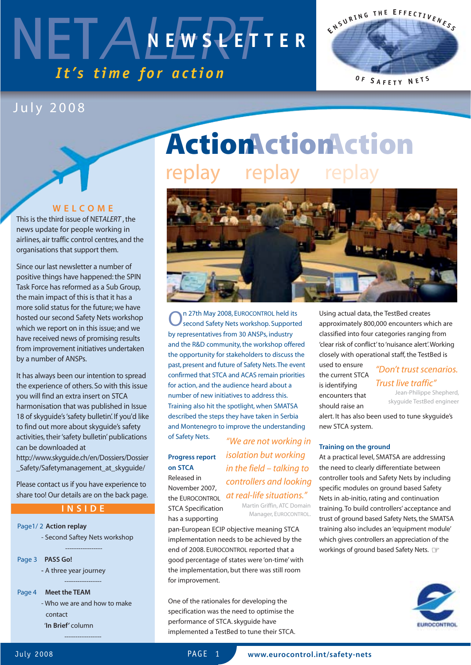# NETALEWSPEF *It's time for action* **NEWSLETTER**

### July 2008

#### **WELCOME**

This is the third issue of NET*ALERT* , the news update for people working in airlines, air traffic control centres, and the organisations that support them.

Since our last newsletter a number of positive things have happened: the SPIN Task Force has reformed as a Sub Group, the main impact of this is that it has a more solid status for the future; we have hosted our second Safety Nets workshop which we report on in this issue; and we have received news of promising results from improvement initiatives undertaken by a number of ANSPs.

It has always been our intention to spread the experience of others. So with this issue you will find an extra insert on STCA harmonisation that was published in Issue 18 of skyguide's 'safety bulletin'. If you'd like to find out more about skyguide's safety activities, their 'safety bulletin' publications can be downloaded at

http://www.skyguide.ch/en/Dossiers/Dossier \_Safety/Safetymanagement\_at\_skyguide/

Please contact us if you have experience to share too! Our details are on the back page.

#### **INSIDE**

-----------------

-----------------

Page1/ 2 **Action replay** - Second Saftey Nets workshop

Page 3 **PASS Go!**

**-** A three year journey

Page 4 **Meet the TEAM**

- Who we are and how to make contact '**In Brief'** column

-----------------

**Action Action Action** replay replay replay



On 27th May 2008, EUROCONTROL held its<br>Second Safety Nets workshop. Supported by representatives from 30 ANSPs, industry and the R&D community, the workshop offered the opportunity for stakeholders to discuss the past, present and future of Safety Nets.The event confirmed that STCA and ACAS remain priorities for action, and the audience heard about a number of new initiatives to address this. Training also hit the spotlight, when SMATSA described the steps they have taken in Serbia and Montenegro to improve the understanding of Safety Nets. *"We are not working in*

### **Progress report on STCA** Released in

November 2007, the EUROCONTROL STCA Specification has a supporting

*at real-life situations."* Martin Griffin, ATC Domain Manager, EUROCONTROL.

*isolation but working in the field – talking to controllers and looking*

pan-European ECIP objective meaning STCA implementation needs to be achieved by the end of 2008. EUROCONTROL reported that a good percentage of states were 'on-time' with the implementation, but there was still room for improvement.

One of the rationales for developing the specification was the need to optimise the performance of STCA. skyguide have implemented a TestBed to tune their STCA. Using actual data, the TestBed creates approximately 800,000 encounters which are classified into four categories ranging from 'clear risk of conflict' to 'nuisance alert'.Working closely with operational staff, the TestBed is

**E <sup>N</sup> <sup>S</sup> <sup>U</sup> <sup>R</sup> <sup>I</sup> <sup>N</sup> <sup>G</sup> <sup>T</sup> <sup>H</sup> <sup>E</sup> <sup>E</sup> <sup>F</sup> <sup>F</sup> <sup>E</sup> <sup>C</sup> <sup>T</sup> <sup>I</sup> <sup>V</sup> <sup>E</sup> <sup>N</sup> <sup>E</sup> <sup>S</sup> <sup>S</sup>**

**<sup>O</sup> <sup>F</sup> <sup>S</sup> <sup>A</sup> <sup>F</sup> <sup>E</sup> <sup>T</sup> <sup>Y</sup> <sup>N</sup> <sup>E</sup> <sup>T</sup> <sup>S</sup>**

used to ensure the current STCA is identifying encounters that should raise an

### *"Don't trust scenarios. Trust live traffic"*

Jean-Philippe Shepherd, skyguide TestBed engineer

alert. It has also been used to tune skyguide's new STCA system.

#### **Training on the ground**

At a practical level, SMATSA are addressing the need to clearly differentiate between controller tools and Safety Nets by including specific modules on ground based Safety Nets in ab-initio, rating and continuation training. To build controllers' acceptance and trust of ground based Safety Nets, the SMATSA training also includes an 'equipment module' which gives controllers an appreciation of the workings of ground based Safety Nets. ☞

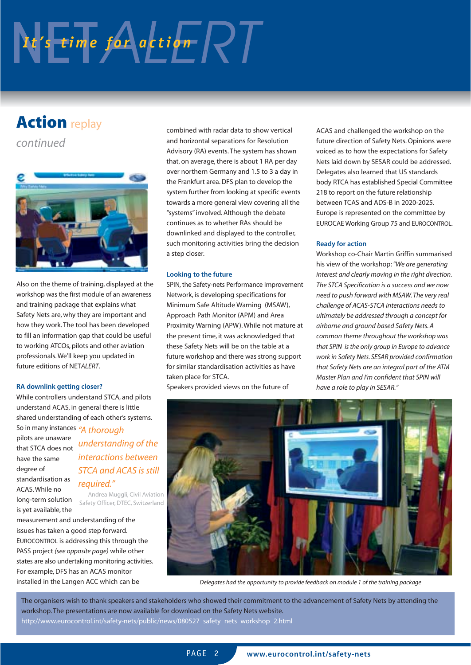# NES time for action RT

### **Action** replay

*continued*



Also on the theme of training, displayed at the workshop was the first module of an awareness and training package that explains what Safety Nets are, why they are important and how they work. The tool has been developed to fill an information gap that could be useful to working ATCOs, pilots and other aviation professionals. We'll keep you updated in future editions of NET*ALERT*.

#### **RA downlink getting closer?**

While controllers understand STCA, and pilots understand ACAS, in general there is little shared understanding of each other's systems.

So in many instances *"A thorough* pilots are unaware have the same degree of standardisation as ACAS. While no long-term solution is yet available, the

that STCA does not *understanding of the interactions between STCA and ACAS is still required."*

> Andrea Muggli, Civil Aviation Safety Officer, DTEC, Switzerland

measurement and understanding of the issues has taken a good step forward. EUROCONTROL is addressing this through the PASS project *(see opposite page)* while other states are also undertaking monitoring activities. For example, DFS has an ACAS monitor installed in the Langen ACC which can be

combined with radar data to show vertical and horizontal separations for Resolution Advisory (RA) events. The system has shown that, on average, there is about 1 RA per day over northern Germany and 1.5 to 3 a day in the Frankfurt area. DFS plan to develop the system further from looking at specific events towards a more general view covering all the "systems" involved. Although the debate continues as to whether RAs should be downlinked and displayed to the controller, such monitoring activities bring the decision a step closer.

#### **Looking to the future**

SPIN, the Safety-nets Performance Improvement Network, is developing specifications for Minimum Safe Altitude Warning (MSAW), Approach Path Monitor (APM) and Area Proximity Warning (APW). While not mature at the present time, it was acknowledged that these Safety Nets will be on the table at a future workshop and there was strong support for similar standardisation activities as have taken place for STCA.

Speakers provided views on the future of

ACAS and challenged the workshop on the future direction of Safety Nets. Opinions were voiced as to how the expectations for Safety Nets laid down by SESAR could be addressed. Delegates also learned that US standards body RTCA has established Special Committee 218 to report on the future relationship between TCAS and ADS-B in 2020-2025. Europe is represented on the committee by EUROCAE Working Group 75 and EUROCONTROL.

#### **Ready for action**

Workshop co-Chair Martin Griffin summarised his view of the workshop:*"We are generating interest and clearly moving in the right direction. The STCA Specification is a success and we now need to push forward with MSAW. The very real challenge of ACAS-STCA interactions needs to ultimately be addressed through a concept for airborne and ground based Safety Nets. A common theme throughout the workshop was that SPIN is the only group in Europe to advance work in Safety Nets. SESAR provided confirmation that Safety Nets are an integral part of the ATM Master Plan and I'm confident that SPIN will have a role to play in SESAR."*



*Delegates had the opportunity to provide feedback on module 1 of the training package*

The organisers wish to thank speakers and stakeholders who showed their commitment to the advancement of Safety Nets by attending the workshop. The presentations are now available for download on the Safety Nets website. http://www.eurocontrol.int/safety-nets/public/news/080527\_safety\_nets\_workshop\_2.html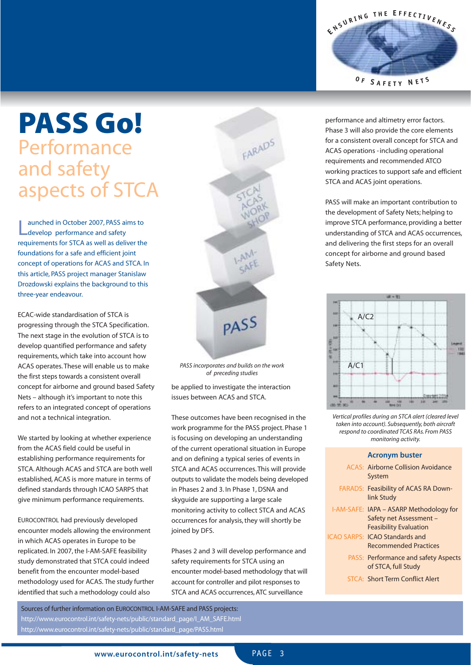# **PASS Go!** Performance and safety aspects of STCA

**Launched in October 2007, PASS and Safety**<br> **Latexelop performance and safety** aunched in October 2007, PASS aims to requirements for STCA as well as deliver the foundations for a safe and efficient joint concept of operations for ACAS and STCA. In this article, PASS project manager Stanislaw Drozdowski explains the background to this three-year endeavour.

ECAC-wide standardisation of STCA is progressing through the STCA Specification. The next stage in the evolution of STCA is to develop quantified performance and safety requirements, which take into account how ACAS operates. These will enable us to make the first steps towards a consistent overall concept for airborne and ground based Safety Nets – although it's important to note this refers to an integrated concept of operations and not a technical integration.

We started by looking at whether experience from the ACAS field could be useful in establishing performance requirements for STCA. Although ACAS and STCA are both well established, ACAS is more mature in terms of defined standards through ICAO SARPS that give minimum performance requirements.

EUROCONTROL had previously developed encounter models allowing the environment in which ACAS operates in Europe to be replicated. In 2007, the I-AM-SAFE feasibility study demonstrated that STCA could indeed benefit from the encounter model-based methodology used for ACAS. The study further identified that such a methodology could also



*PASS incorporates and builds on the work of preceding studies*

be applied to investigate the interaction issues between ACAS and STCA.

These outcomes have been recognised in the work programme for the PASS project. Phase 1 is focusing on developing an understanding of the current operational situation in Europe and on defining a typical series of events in STCA and ACAS occurrences. This will provide outputs to validate the models being developed in Phases 2 and 3. In Phase 1, DSNA and skyguide are supporting a large scale monitoring activity to collect STCA and ACAS occurrences for analysis, they will shortly be joined by DFS.

Phases 2 and 3 will develop performance and safety requirements for STCA using an encounter model-based methodology that will account for controller and pilot responses to STCA and ACAS occurrences, ATC surveillance

Sources of further information on EUROCONTROL I-AM-SAFE and PASS projects: http://www.eurocontrol.int/safety-nets/public/standard\_page/I\_AM\_SAFE.html http://www.eurocontrol.int/safety-nets/public/standard\_page/PASS.html



performance and altimetry error factors. Phase 3 will also provide the core elements for a consistent overall concept for STCA and ACAS operations -including operational requirements and recommended ATCO working practices to support safe and efficient STCA and ACAS joint operations.

PASS will make an important contribution to the development of Safety Nets; helping to improve STCA performance, providing a better understanding of STCA and ACAS occurrences, and delivering the first steps for an overall concept for airborne and ground based Safety Nets.



*Vertical profiles during an STCA alert (cleared level taken into account). Subsequently, both aircraft respond to coordinated TCAS RAs. From PASS monitoring activity.*

#### **Acronym buster**

| ACAS: Airborne Collision Avoidance<br>System                                                        |
|-----------------------------------------------------------------------------------------------------|
| <b>FARADS: Feasibility of ACAS RA Down-</b><br>link Study                                           |
| I-AM-SAFE: IAPA – ASARP Methodology for<br>Safety net Assessment -<br><b>Feasibility Evaluation</b> |
| <b>ICAO SARPS: ICAO Standards and</b><br><b>Recommended Practices</b>                               |
| <b>PASS: Performance and safety Aspects</b><br>of STCA, full Study                                  |
| <b>STCA: Short Term Conflict Alert</b>                                                              |